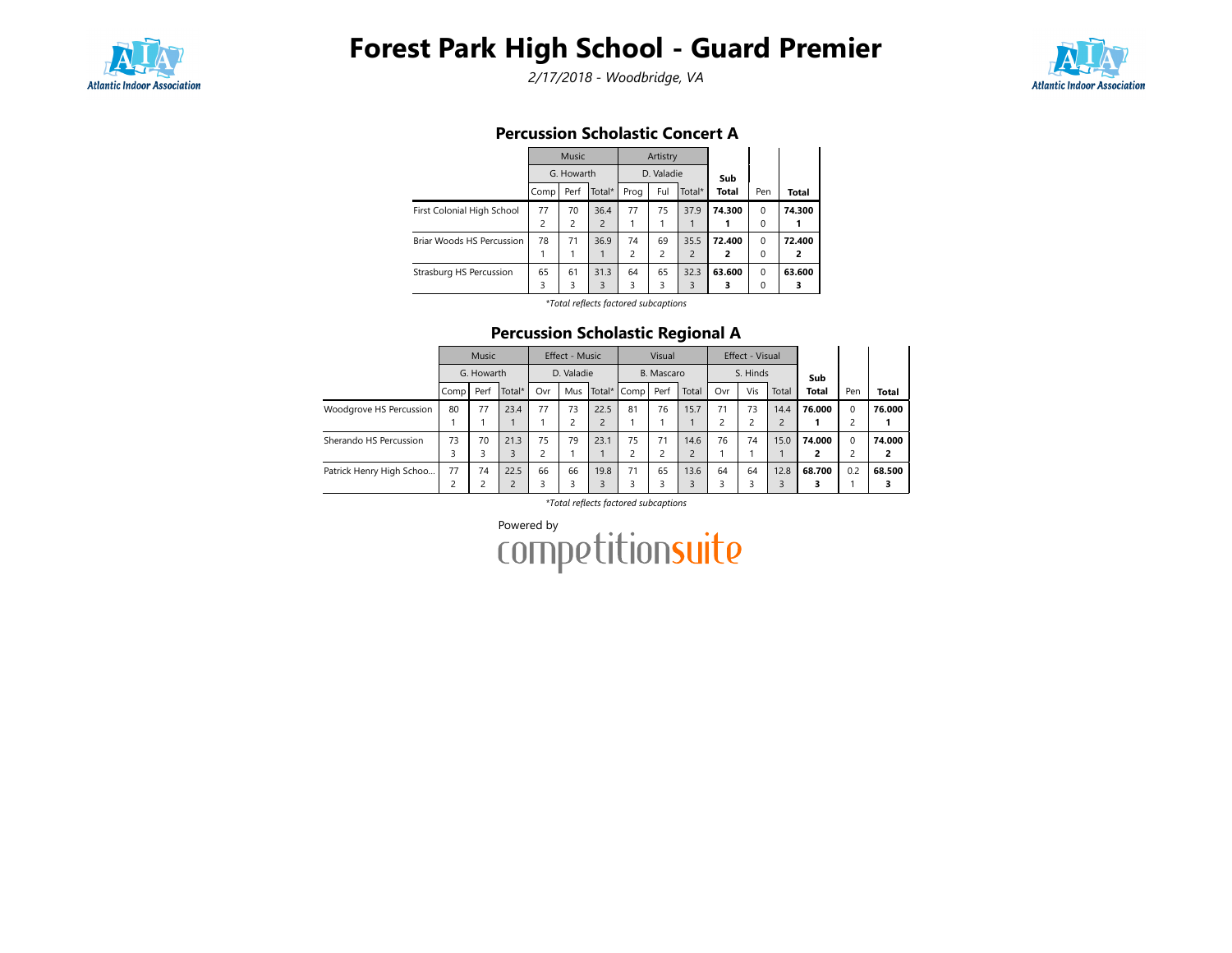

# Forest Park High School - Guard Premier

2/17/2018 - Woodbridge, VA



### Percussion Scholastic Concert A

|                            |      | Music          |                |                | Artistry   |                |              |          |        |
|----------------------------|------|----------------|----------------|----------------|------------|----------------|--------------|----------|--------|
|                            |      | G. Howarth     |                |                | D. Valadie |                | Sub          |          |        |
|                            | Comp | Perf           | Total*         | Prog           | Ful        | Total*         | <b>Total</b> | Pen      | Total  |
| First Colonial High School | 77   | 70             | 36.4           | 77             | 75         | 37.9           | 74.300       | $\Omega$ | 74.300 |
|                            | 2    | $\overline{2}$ | $\overline{2}$ |                |            |                |              | $\Omega$ |        |
| Briar Woods HS Percussion  | 78   | 71             | 36.9           | 74             | 69         | 35.5           | 72.400       | $\Omega$ | 72.400 |
|                            |      |                |                | $\overline{c}$ | 2          | $\overline{2}$ | 2            | $\Omega$ | 2      |
| Strasburg HS Percussion    | 65   | 61             | 31.3           | 64             | 65         | 32.3           | 63.600       | $\Omega$ | 63.600 |
|                            | 3    | 3              | 3              | 3              | 3          | 3              | 3            | $\Omega$ |        |

\*Total reflects factored subcaptions

#### Percussion Scholastic Regional A

|                          | <b>Music</b> |      |                | Effect - Music |     |            | Visual        |      |                | Effect - Visual |     |                |              |             |                |
|--------------------------|--------------|------|----------------|----------------|-----|------------|---------------|------|----------------|-----------------|-----|----------------|--------------|-------------|----------------|
|                          | G. Howarth   |      | D. Valadie     |                |     | B. Mascaro |               |      | S. Hinds       |                 |     | Sub            |              |             |                |
|                          | Comp         | Perf | Total*         | Ovr            | Mus |            | Total* I Comp | Perf | Total          | Ovr             | Vis | Total          | <b>Total</b> | Pen         | <b>Total</b>   |
| Woodgrove HS Percussion  | 80           | 77   | 23.4           | 77             | 73  | 22.5       | 81            | 76   | 15.7           | 71              | 73  | 14.4           | 76.000       | $\Omega$    | 76.000         |
|                          |              |      |                |                |     |            |               |      |                |                 |     | $\overline{2}$ |              | 2           |                |
| Sherando HS Percussion   | 73           | 70   | 21.3           | 75             | 79  | 23.1       | 75            | 71   | 14.6           | 76              | 74  | 15.0           | 74.000       | $\mathbf 0$ | 74.000         |
|                          |              | 3    | 3              | 2              |     |            |               |      | $\overline{c}$ |                 |     |                |              | 2           | $\overline{2}$ |
| Patrick Henry High Schoo | 77           | 74   | 22.5           | 66             | 66  | 19.8       | 71            | 65   | 13.6           | 64              | 64  | 12.8           | 68.700       | 0.2         | 68.500         |
|                          |              | 2    | $\overline{2}$ | 3              | 3   | 3          | 3             | ς    |                |                 |     | 3              |              |             |                |

\*Total reflects factored subcaptions